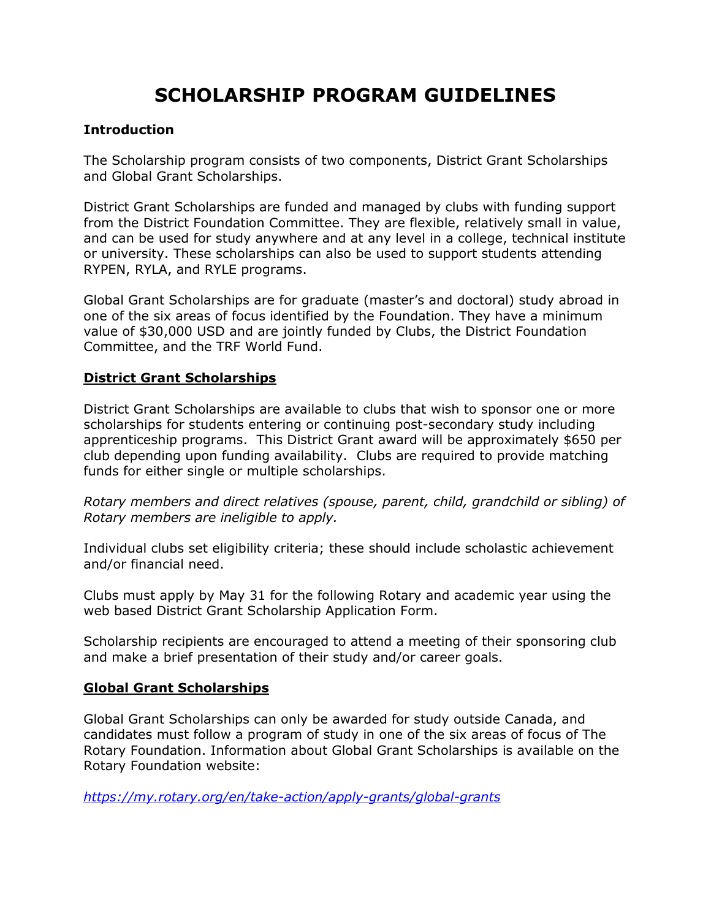## **SCHOLARSHIP PROGRAM GUIDELINES**

## **Introduction**

The Scholarship program consists of two components, District Grant Scholarships and Global Grant Scholarships.

District Grant Scholarships are funded and managed by clubs with funding support from the District Foundation Committee. They are flexible, relatively small in value, and can be used for study anywhere and at any level in a college, technical institute or university. These scholarships can also be used to support students attending RYPEN, RYLA, and RYLE programs.

Global Grant Scholarships are for graduate (master's and doctoral) study abroad in one of the six areas of focus identified by the Foundation. They have a minimum value of \$30,000 USD and are jointly funded by Clubs, the District Foundation Committee, and the TRF World Fund.

## **District Grant Scholarships**

District Grant Scholarships are available to clubs that wish to sponsor one or more scholarships for students entering or continuing post-secondary study including apprenticeship programs. This District Grant award will be approximately \$650 per club depending upon funding availability. Clubs are required to provide matching funds for either single or multiple scholarships.

*Rotary members and direct relatives (spouse, parent, child, grandchild or sibling) of Rotary members are ineligible to apply.*

Individual clubs set eligibility criteria; these should include scholastic achievement and/or financial need.

Clubs must apply by May 31 for the following Rotary and academic year using the web based District Grant Scholarship Application Form.

Scholarship recipients are encouraged to attend a meeting of their sponsoring club and make a brief presentation of their study and/or career goals.

## **Global Grant Scholarships**

Global Grant Scholarships can only be awarded for study outside Canada, and candidates must follow a program of study in one of the six areas of focus of The Rotary Foundation. Information about Global Grant Scholarships is available on the Rotary Foundation website:

*<https://my.rotary.org/en/take-action/apply-grants/global-grants>*